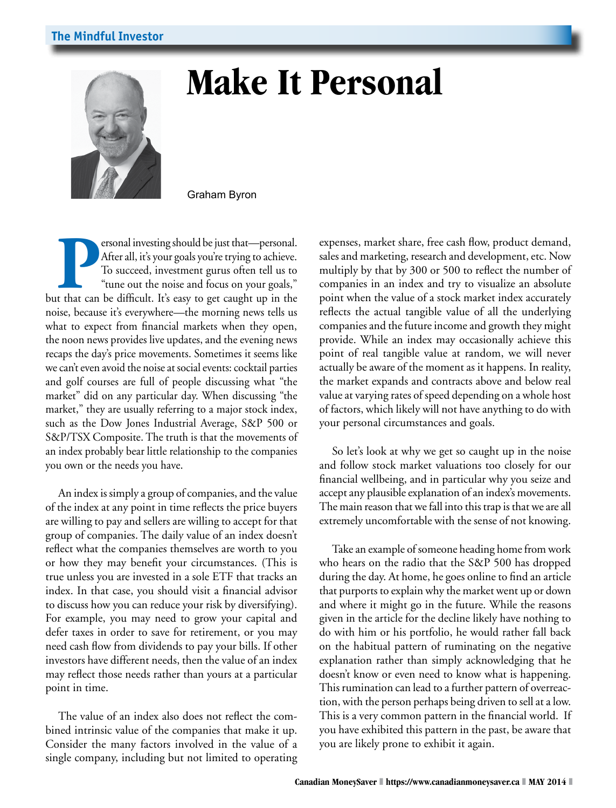

## **Make It Personal**

Graham Byron

**Personal investing should be just that—personal.** After all, it's your goals you're trying to achieve. To succeed, investment gurus often tell us to "tune out the noise and focus on your goals," but that can be difficult. After all, it's your goals you're trying to achieve. To succeed, investment gurus often tell us to "tune out the noise and focus on your goals," noise, because it's everywhere—the morning news tells us what to expect from financial markets when they open, the noon news provides live updates, and the evening news recaps the day's price movements. Sometimes it seems like we can't even avoid the noise at social events: cocktail parties and golf courses are full of people discussing what "the market" did on any particular day. When discussing "the market," they are usually referring to a major stock index, such as the Dow Jones Industrial Average, S&P 500 or S&P/TSX Composite. The truth is that the movements of an index probably bear little relationship to the companies you own or the needs you have.

An index is simply a group of companies, and the value of the index at any point in time reflects the price buyers are willing to pay and sellers are willing to accept for that group of companies. The daily value of an index doesn't reflect what the companies themselves are worth to you or how they may benefit your circumstances. (This is true unless you are invested in a sole ETF that tracks an index. In that case, you should visit a financial advisor to discuss how you can reduce your risk by diversifying). For example, you may need to grow your capital and defer taxes in order to save for retirement, or you may need cash flow from dividends to pay your bills. If other investors have different needs, then the value of an index may reflect those needs rather than yours at a particular point in time.

The value of an index also does not reflect the combined intrinsic value of the companies that make it up. Consider the many factors involved in the value of a single company, including but not limited to operating expenses, market share, free cash flow, product demand, sales and marketing, research and development, etc. Now multiply by that by 300 or 500 to reflect the number of companies in an index and try to visualize an absolute point when the value of a stock market index accurately reflects the actual tangible value of all the underlying companies and the future income and growth they might provide. While an index may occasionally achieve this point of real tangible value at random, we will never actually be aware of the moment as it happens. In reality, the market expands and contracts above and below real value at varying rates of speed depending on a whole host of factors, which likely will not have anything to do with your personal circumstances and goals.

So let's look at why we get so caught up in the noise and follow stock market valuations too closely for our financial wellbeing, and in particular why you seize and accept any plausible explanation of an index's movements. The main reason that we fall into this trap is that we are all extremely uncomfortable with the sense of not knowing.

Take an example of someone heading home from work who hears on the radio that the S&P 500 has dropped during the day. At home, he goes online to find an article that purports to explain why the market went up or down and where it might go in the future. While the reasons given in the article for the decline likely have nothing to do with him or his portfolio, he would rather fall back on the habitual pattern of ruminating on the negative explanation rather than simply acknowledging that he doesn't know or even need to know what is happening. This rumination can lead to a further pattern of overreaction, with the person perhaps being driven to sell at a low. This is a very common pattern in the financial world. If you have exhibited this pattern in the past, be aware that you are likely prone to exhibit it again.